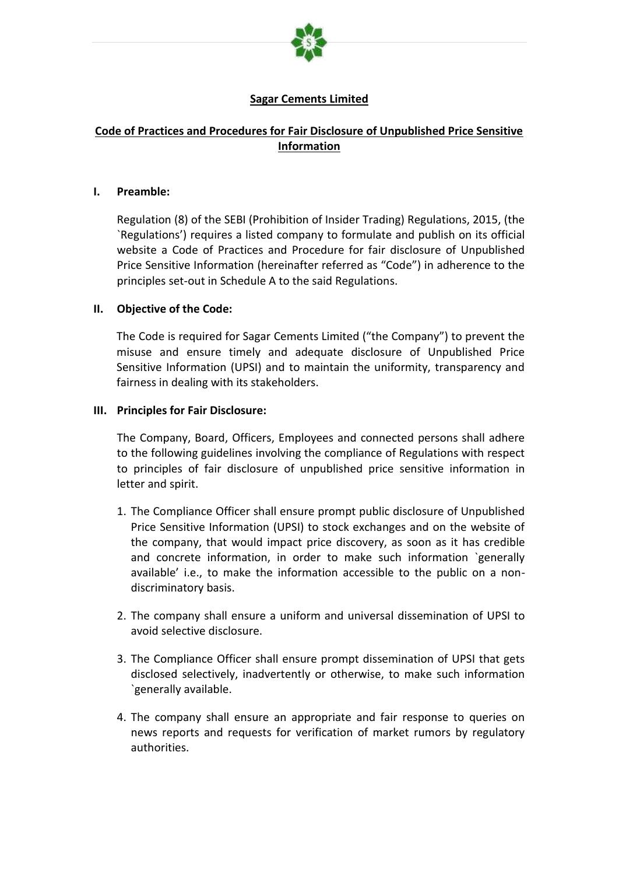

## **Sagar Cements Limited**

## **Code of Practices and Procedures for Fair Disclosure of Unpublished Price Sensitive Information**

### **I. Preamble:**

Regulation (8) of the SEBI (Prohibition of Insider Trading) Regulations, 2015, (the `Regulations') requires a listed company to formulate and publish on its official website a Code of Practices and Procedure for fair disclosure of Unpublished Price Sensitive Information (hereinafter referred as "Code") in adherence to the principles set-out in Schedule A to the said Regulations.

### **II. Objective of the Code:**

The Code is required for Sagar Cements Limited ("the Company") to prevent the misuse and ensure timely and adequate disclosure of Unpublished Price Sensitive Information (UPSI) and to maintain the uniformity, transparency and fairness in dealing with its stakeholders.

#### **III. Principles for Fair Disclosure:**

The Company, Board, Officers, Employees and connected persons shall adhere to the following guidelines involving the compliance of Regulations with respect to principles of fair disclosure of unpublished price sensitive information in letter and spirit.

- 1. The Compliance Officer shall ensure prompt public disclosure of Unpublished Price Sensitive Information (UPSI) to stock exchanges and on the website of the company, that would impact price discovery, as soon as it has credible and concrete information, in order to make such information `generally available' i.e., to make the information accessible to the public on a nondiscriminatory basis.
- 2. The company shall ensure a uniform and universal dissemination of UPSI to avoid selective disclosure.
- 3. The Compliance Officer shall ensure prompt dissemination of UPSI that gets disclosed selectively, inadvertently or otherwise, to make such information `generally available.
- 4. The company shall ensure an appropriate and fair response to queries on news reports and requests for verification of market rumors by regulatory authorities.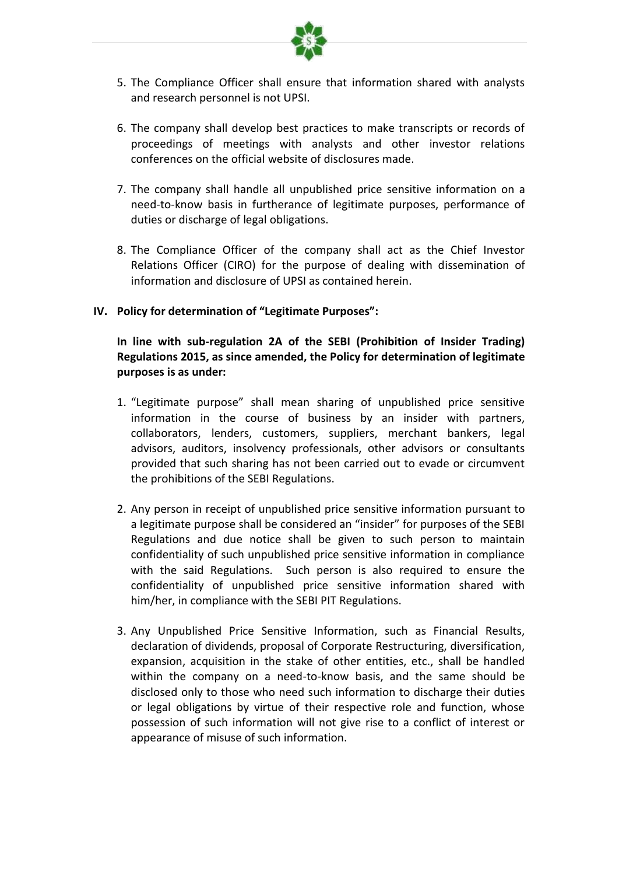

- 5. The Compliance Officer shall ensure that information shared with analysts and research personnel is not UPSI.
- 6. The company shall develop best practices to make transcripts or records of proceedings of meetings with analysts and other investor relations conferences on the official website of disclosures made.
- 7. The company shall handle all unpublished price sensitive information on a need-to-know basis in furtherance of legitimate purposes, performance of duties or discharge of legal obligations.
- 8. The Compliance Officer of the company shall act as the Chief Investor Relations Officer (CIRO) for the purpose of dealing with dissemination of information and disclosure of UPSI as contained herein.
- **IV. Policy for determination of "Legitimate Purposes":**

## **In line with sub-regulation 2A of the SEBI (Prohibition of Insider Trading) Regulations 2015, as since amended, the Policy for determination of legitimate purposes is as under:**

- 1. "Legitimate purpose" shall mean sharing of unpublished price sensitive information in the course of business by an insider with partners, collaborators, lenders, customers, suppliers, merchant bankers, legal advisors, auditors, insolvency professionals, other advisors or consultants provided that such sharing has not been carried out to evade or circumvent the prohibitions of the SEBI Regulations.
- 2. Any person in receipt of unpublished price sensitive information pursuant to a legitimate purpose shall be considered an "insider" for purposes of the SEBI Regulations and due notice shall be given to such person to maintain confidentiality of such unpublished price sensitive information in compliance with the said Regulations. Such person is also required to ensure the confidentiality of unpublished price sensitive information shared with him/her, in compliance with the SEBI PIT Regulations.
- 3. Any Unpublished Price Sensitive Information, such as Financial Results, declaration of dividends, proposal of Corporate Restructuring, diversification, expansion, acquisition in the stake of other entities, etc., shall be handled within the company on a need-to-know basis, and the same should be disclosed only to those who need such information to discharge their duties or legal obligations by virtue of their respective role and function, whose possession of such information will not give rise to a conflict of interest or appearance of misuse of such information.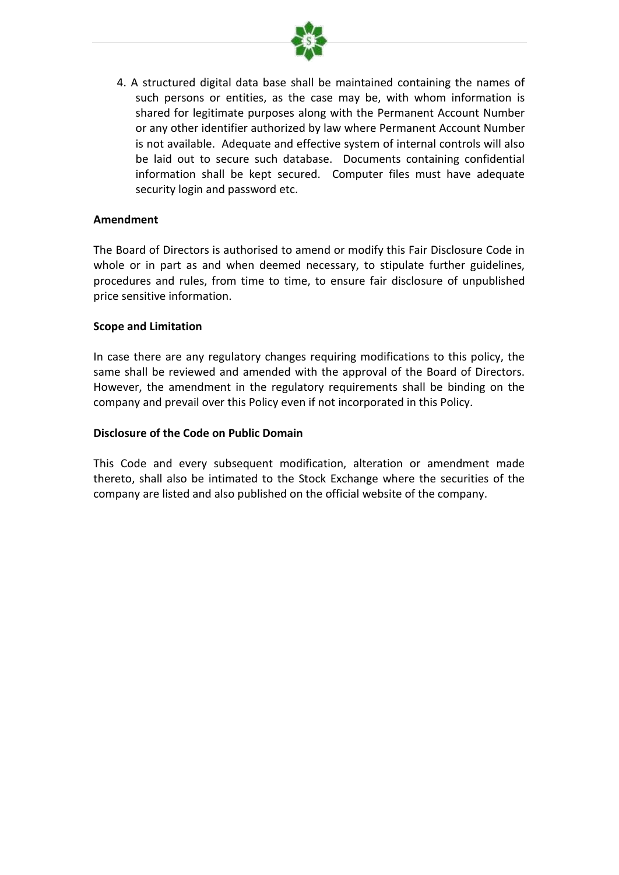

4. A structured digital data base shall be maintained containing the names of such persons or entities, as the case may be, with whom information is shared for legitimate purposes along with the Permanent Account Number or any other identifier authorized by law where Permanent Account Number is not available. Adequate and effective system of internal controls will also be laid out to secure such database. Documents containing confidential information shall be kept secured. Computer files must have adequate security login and password etc.

### **Amendment**

The Board of Directors is authorised to amend or modify this Fair Disclosure Code in whole or in part as and when deemed necessary, to stipulate further guidelines, procedures and rules, from time to time, to ensure fair disclosure of unpublished price sensitive information.

### **Scope and Limitation**

In case there are any regulatory changes requiring modifications to this policy, the same shall be reviewed and amended with the approval of the Board of Directors. However, the amendment in the regulatory requirements shall be binding on the company and prevail over this Policy even if not incorporated in this Policy.

#### **Disclosure of the Code on Public Domain**

This Code and every subsequent modification, alteration or amendment made thereto, shall also be intimated to the Stock Exchange where the securities of the company are listed and also published on the official website of the company.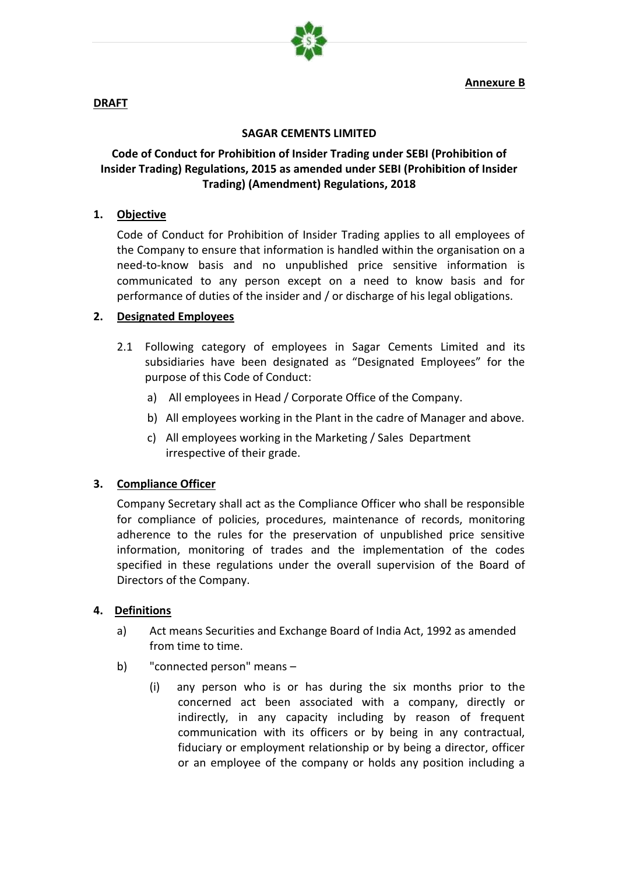

### **DRAFT**

### **SAGAR CEMENTS LIMITED**

## **Code of Conduct for Prohibition of Insider Trading under SEBI (Prohibition of Insider Trading) Regulations, 2015 as amended under SEBI (Prohibition of Insider Trading) (Amendment) Regulations, 2018**

### **1. Objective**

Code of Conduct for Prohibition of Insider Trading applies to all employees of the Company to ensure that information is handled within the organisation on a need-to-know basis and no unpublished price sensitive information is communicated to any person except on a need to know basis and for performance of duties of the insider and / or discharge of his legal obligations.

### **2. Designated Employees**

- 2.1 Following category of employees in Sagar Cements Limited and its subsidiaries have been designated as "Designated Employees" for the purpose of this Code of Conduct:
	- a) All employees in Head / Corporate Office of the Company.
	- b) All employees working in the Plant in the cadre of Manager and above.
	- c) All employees working in the Marketing / Sales Department irrespective of their grade.

### **3. Compliance Officer**

Company Secretary shall act as the Compliance Officer who shall be responsible for compliance of policies, procedures, maintenance of records, monitoring adherence to the rules for the preservation of unpublished price sensitive information, monitoring of trades and the implementation of the codes specified in these regulations under the overall supervision of the Board of Directors of the Company.

### **4. Definitions**

- a) Act means Securities and Exchange Board of India Act, 1992 as amended from time to time.
- b) "connected person" means
	- (i) any person who is or has during the six months prior to the concerned act been associated with a company, directly or indirectly, in any capacity including by reason of frequent communication with its officers or by being in any contractual, fiduciary or employment relationship or by being a director, officer or an employee of the company or holds any position including a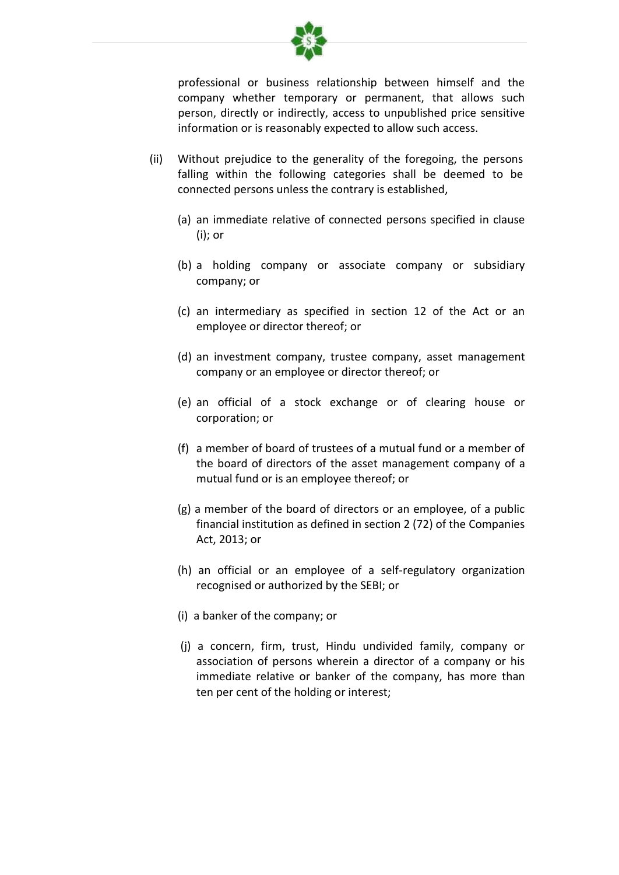

professional or business relationship between himself and the company whether temporary or permanent, that allows such person, directly or indirectly, access to unpublished price sensitive information or is reasonably expected to allow such access.

- (ii) Without prejudice to the generality of the foregoing, the persons falling within the following categories shall be deemed to be connected persons unless the contrary is established,
	- (a) an immediate relative of connected persons specified in clause (i); or
	- (b) a holding company or associate company or subsidiary company; or
	- (c) an intermediary as specified in section 12 of the Act or an employee or director thereof; or
	- (d) an investment company, trustee company, asset management company or an employee or director thereof; or
	- (e) an official of a stock exchange or of clearing house or corporation; or
	- (f) a member of board of trustees of a mutual fund or a member of the board of directors of the asset management company of a mutual fund or is an employee thereof; or
	- (g) a member of the board of directors or an employee, of a public financial institution as defined in section 2 (72) of the Companies Act, 2013; or
	- (h) an official or an employee of a self-regulatory organization recognised or authorized by the SEBI; or
	- (i) a banker of the company; or
	- (j) a concern, firm, trust, Hindu undivided family, company or association of persons wherein a director of a company or his immediate relative or banker of the company, has more than ten per cent of the holding or interest;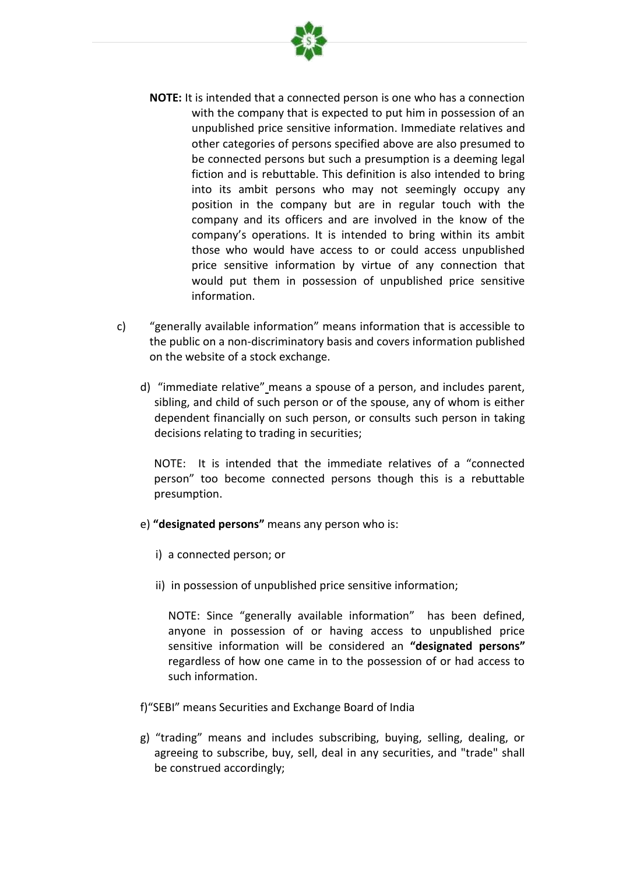

- **NOTE:** It is intended that a connected person is one who has a connection with the company that is expected to put him in possession of an unpublished price sensitive information. Immediate relatives and other categories of persons specified above are also presumed to be connected persons but such a presumption is a deeming legal fiction and is rebuttable. This definition is also intended to bring into its ambit persons who may not seemingly occupy any position in the company but are in regular touch with the company and its officers and are involved in the know of the company's operations. It is intended to bring within its ambit those who would have access to or could access unpublished price sensitive information by virtue of any connection that would put them in possession of unpublished price sensitive information.
- c) "generally available information" means information that is accessible to the public on a non-discriminatory basis and covers information published on the website of a stock exchange.
	- d) "immediate relative" means a spouse of a person, and includes parent, sibling, and child of such person or of the spouse, any of whom is either dependent financially on such person, or consults such person in taking decisions relating to trading in securities;

NOTE: It is intended that the immediate relatives of a "connected person" too become connected persons though this is a rebuttable presumption.

- e) **"designated persons"** means any person who is:
	- i) a connected person; or
	- ii) in possession of unpublished price sensitive information;

NOTE: Since "generally available information" has been defined, anyone in possession of or having access to unpublished price sensitive information will be considered an **"designated persons"**  regardless of how one came in to the possession of or had access to such information.

- f)"SEBI" means Securities and Exchange Board of India
- g) "trading" means and includes subscribing, buying, selling, dealing, or agreeing to subscribe, buy, sell, deal in any securities, and "trade" shall be construed accordingly;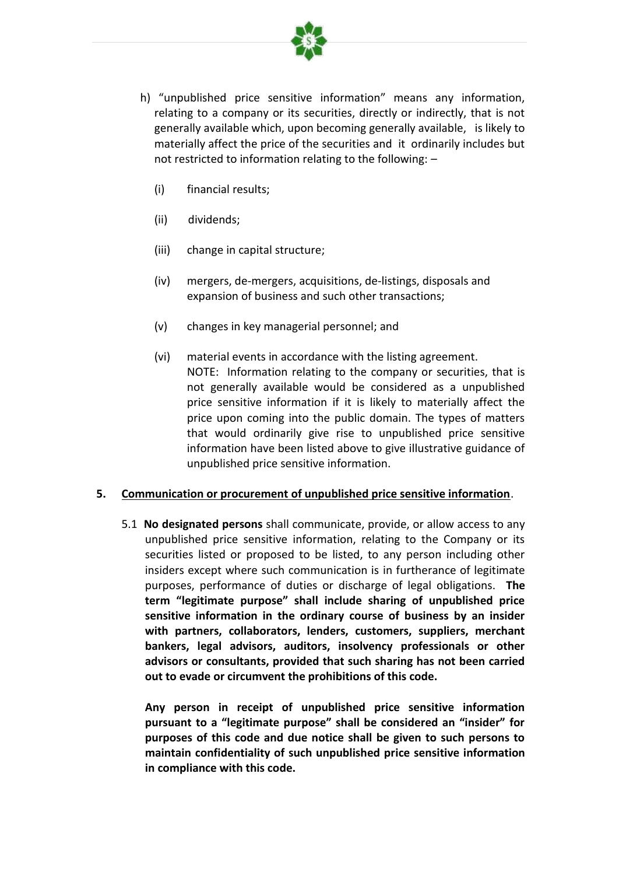

- h) "unpublished price sensitive information" means any information, relating to a company or its securities, directly or indirectly, that is not generally available which, upon becoming generally available, is likely to materially affect the price of the securities and it ordinarily includes but not restricted to information relating to the following: –
	- (i) financial results;
	- (ii) dividends;
	- (iii) change in capital structure;
	- (iv) mergers, de-mergers, acquisitions, de-listings, disposals and expansion of business and such other transactions;
	- (v) changes in key managerial personnel; and
	- (vi) material events in accordance with the listing agreement. NOTE: Information relating to the company or securities, that is not generally available would be considered as a unpublished price sensitive information if it is likely to materially affect the price upon coming into the public domain. The types of matters that would ordinarily give rise to unpublished price sensitive information have been listed above to give illustrative guidance of unpublished price sensitive information.

### **5. Communication or procurement of unpublished price sensitive information**.

5.1 **No designated persons** shall communicate, provide, or allow access to any unpublished price sensitive information, relating to the Company or its securities listed or proposed to be listed, to any person including other insiders except where such communication is in furtherance of legitimate purposes, performance of duties or discharge of legal obligations. **The term "legitimate purpose" shall include sharing of unpublished price sensitive information in the ordinary course of business by an insider with partners, collaborators, lenders, customers, suppliers, merchant bankers, legal advisors, auditors, insolvency professionals or other advisors or consultants, provided that such sharing has not been carried out to evade or circumvent the prohibitions of this code.**

**Any person in receipt of unpublished price sensitive information pursuant to a "legitimate purpose" shall be considered an "insider" for purposes of this code and due notice shall be given to such persons to maintain confidentiality of such unpublished price sensitive information in compliance with this code.**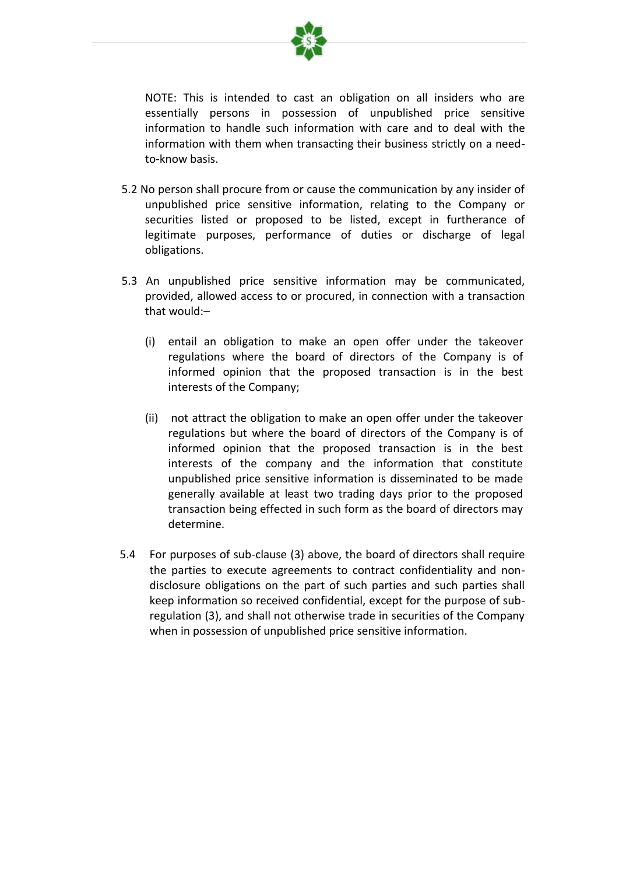

NOTE: This is intended to cast an obligation on all insiders who are essentially persons in possession of unpublished price sensitive information to handle such information with care and to deal with the information with them when transacting their business strictly on a needto-know basis.

- 5.2 No person shall procure from or cause the communication by any insider of unpublished price sensitive information, relating to the Company or securities listed or proposed to be listed, except in furtherance of legitimate purposes, performance of duties or discharge of legal obligations.
- 5.3 An unpublished price sensitive information may be communicated, provided, allowed access to or procured, in connection with a transaction that would:–
	- (i) entail an obligation to make an open offer under the takeover regulations where the board of directors of the Company is of informed opinion that the proposed transaction is in the best interests of the Company;
	- (ii) not attract the obligation to make an open offer under the takeover regulations but where the board of directors of the Company is of informed opinion that the proposed transaction is in the best interests of the company and the information that constitute unpublished price sensitive information is disseminated to be made generally available at least two trading days prior to the proposed transaction being effected in such form as the board of directors may determine.
- 5.4 For purposes of sub-clause (3) above, the board of directors shall require the parties to execute agreements to contract confidentiality and nondisclosure obligations on the part of such parties and such parties shall keep information so received confidential, except for the purpose of subregulation (3), and shall not otherwise trade in securities of the Company when in possession of unpublished price sensitive information.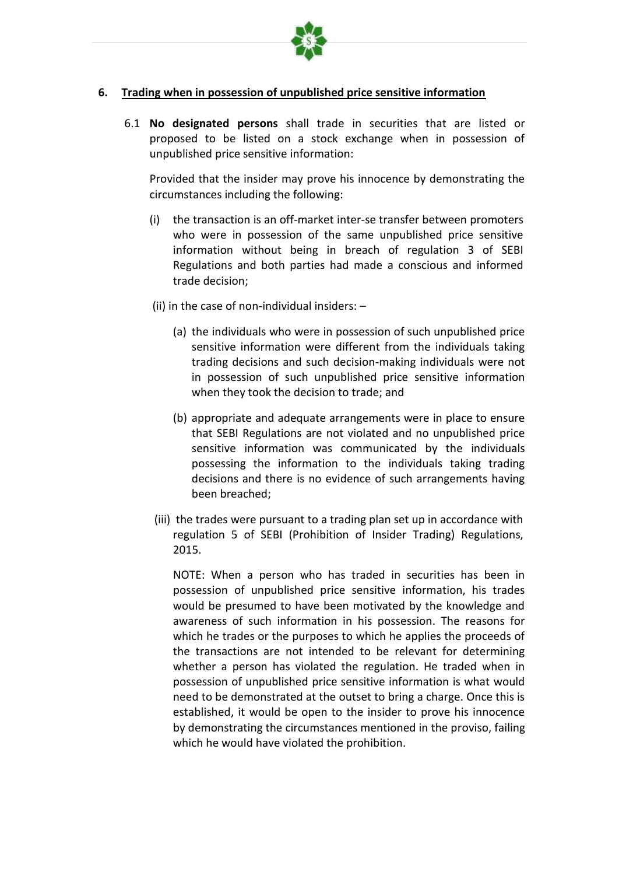

## **6. Trading when in possession of unpublished price sensitive information**

6.1 **No designated persons** shall trade in securities that are listed or proposed to be listed on a stock exchange when in possession of unpublished price sensitive information:

Provided that the insider may prove his innocence by demonstrating the circumstances including the following:

- (i) the transaction is an off-market inter-se transfer between promoters who were in possession of the same unpublished price sensitive information without being in breach of regulation 3 of SEBI Regulations and both parties had made a conscious and informed trade decision;
- (ii) in the case of non-individual insiders:  $-$ 
	- (a) the individuals who were in possession of such unpublished price sensitive information were different from the individuals taking trading decisions and such decision-making individuals were not in possession of such unpublished price sensitive information when they took the decision to trade; and
	- (b) appropriate and adequate arrangements were in place to ensure that SEBI Regulations are not violated and no unpublished price sensitive information was communicated by the individuals possessing the information to the individuals taking trading decisions and there is no evidence of such arrangements having been breached;
- (iii) the trades were pursuant to a trading plan set up in accordance with regulation 5 of SEBI (Prohibition of Insider Trading) Regulations, 2015.

NOTE: When a person who has traded in securities has been in possession of unpublished price sensitive information, his trades would be presumed to have been motivated by the knowledge and awareness of such information in his possession. The reasons for which he trades or the purposes to which he applies the proceeds of the transactions are not intended to be relevant for determining whether a person has violated the regulation. He traded when in possession of unpublished price sensitive information is what would need to be demonstrated at the outset to bring a charge. Once this is established, it would be open to the insider to prove his innocence by demonstrating the circumstances mentioned in the proviso, failing which he would have violated the prohibition.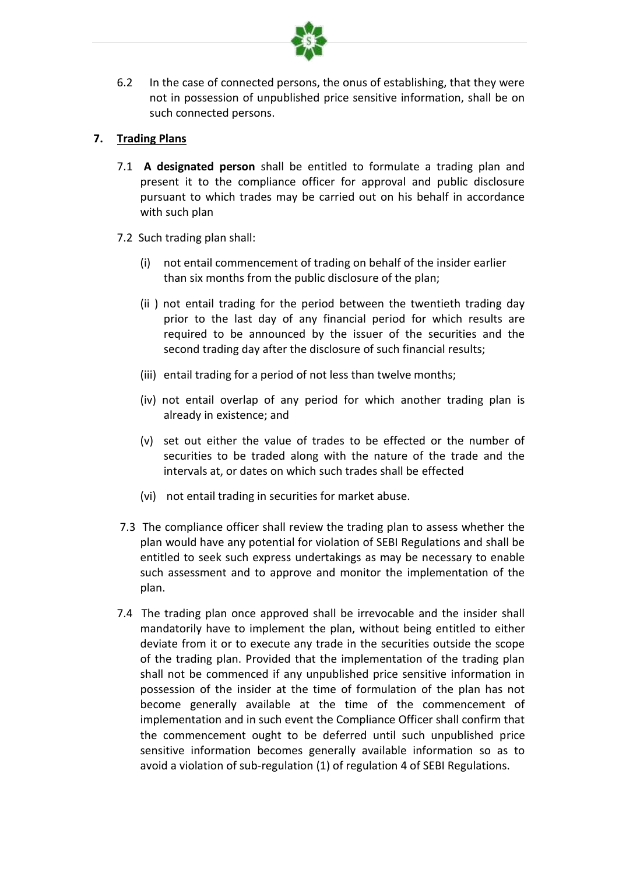

6.2 In the case of connected persons, the onus of establishing, that they were not in possession of unpublished price sensitive information, shall be on such connected persons.

## **7. Trading Plans**

- 7.1 **A designated person** shall be entitled to formulate a trading plan and present it to the compliance officer for approval and public disclosure pursuant to which trades may be carried out on his behalf in accordance with such plan
- 7.2 Such trading plan shall:
	- (i) not entail commencement of trading on behalf of the insider earlier than six months from the public disclosure of the plan;
	- (ii ) not entail trading for the period between the twentieth trading day prior to the last day of any financial period for which results are required to be announced by the issuer of the securities and the second trading day after the disclosure of such financial results;
	- (iii) entail trading for a period of not less than twelve months;
	- (iv) not entail overlap of any period for which another trading plan is already in existence; and
	- (v) set out either the value of trades to be effected or the number of securities to be traded along with the nature of the trade and the intervals at, or dates on which such trades shall be effected
	- (vi) not entail trading in securities for market abuse.
- 7.3 The compliance officer shall review the trading plan to assess whether the plan would have any potential for violation of SEBI Regulations and shall be entitled to seek such express undertakings as may be necessary to enable such assessment and to approve and monitor the implementation of the plan.
- 7.4 The trading plan once approved shall be irrevocable and the insider shall mandatorily have to implement the plan, without being entitled to either deviate from it or to execute any trade in the securities outside the scope of the trading plan. Provided that the implementation of the trading plan shall not be commenced if any unpublished price sensitive information in possession of the insider at the time of formulation of the plan has not become generally available at the time of the commencement of implementation and in such event the Compliance Officer shall confirm that the commencement ought to be deferred until such unpublished price sensitive information becomes generally available information so as to avoid a violation of sub-regulation (1) of regulation 4 of SEBI Regulations.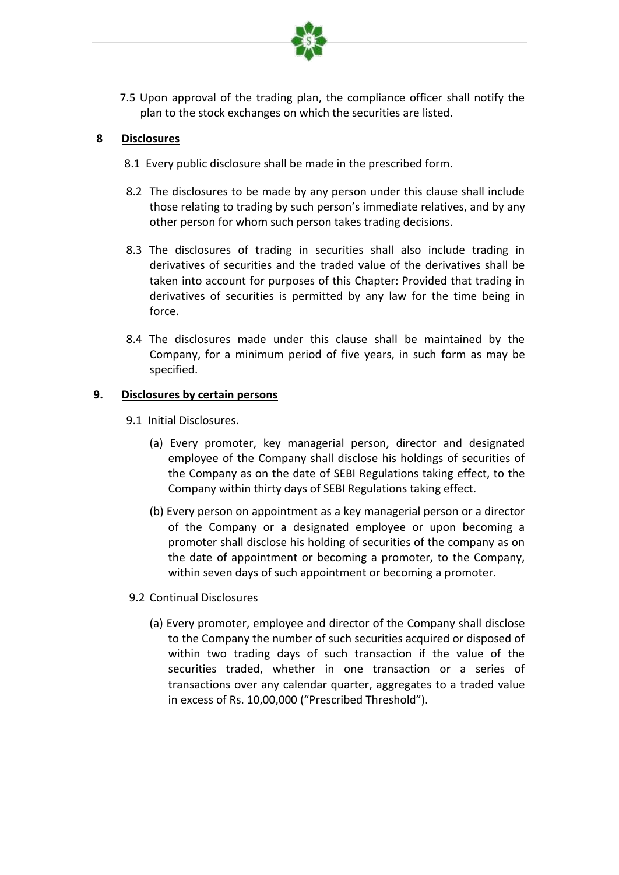

7.5 Upon approval of the trading plan, the compliance officer shall notify the plan to the stock exchanges on which the securities are listed.

### **8 Disclosures**

- 8.1 Every public disclosure shall be made in the prescribed form.
- 8.2 The disclosures to be made by any person under this clause shall include those relating to trading by such person's immediate relatives, and by any other person for whom such person takes trading decisions.
- 8.3 The disclosures of trading in securities shall also include trading in derivatives of securities and the traded value of the derivatives shall be taken into account for purposes of this Chapter: Provided that trading in derivatives of securities is permitted by any law for the time being in force.
- 8.4 The disclosures made under this clause shall be maintained by the Company, for a minimum period of five years, in such form as may be specified.

### **9. Disclosures by certain persons**

- 9.1 Initial Disclosures.
	- (a) Every promoter, key managerial person, director and designated employee of the Company shall disclose his holdings of securities of the Company as on the date of SEBI Regulations taking effect, to the Company within thirty days of SEBI Regulations taking effect.
	- (b) Every person on appointment as a key managerial person or a director of the Company or a designated employee or upon becoming a promoter shall disclose his holding of securities of the company as on the date of appointment or becoming a promoter, to the Company, within seven days of such appointment or becoming a promoter.
- 9.2 Continual Disclosures
	- (a) Every promoter, employee and director of the Company shall disclose to the Company the number of such securities acquired or disposed of within two trading days of such transaction if the value of the securities traded, whether in one transaction or a series of transactions over any calendar quarter, aggregates to a traded value in excess of Rs. 10,00,000 ("Prescribed Threshold").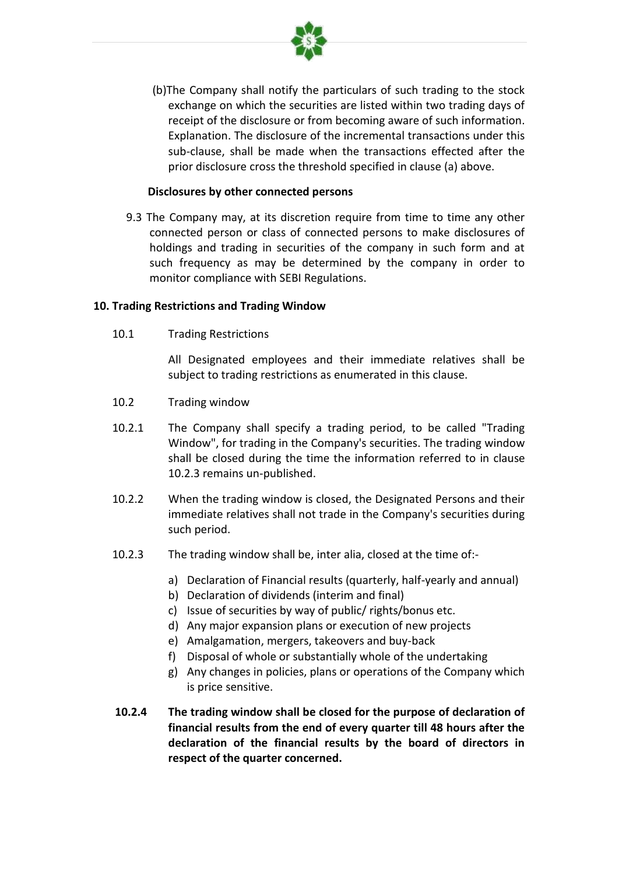

(b)The Company shall notify the particulars of such trading to the stock exchange on which the securities are listed within two trading days of receipt of the disclosure or from becoming aware of such information. Explanation. The disclosure of the incremental transactions under this sub-clause, shall be made when the transactions effected after the prior disclosure cross the threshold specified in clause (a) above.

### **Disclosures by other connected persons**

9.3 The Company may, at its discretion require from time to time any other connected person or class of connected persons to make disclosures of holdings and trading in securities of the company in such form and at such frequency as may be determined by the company in order to monitor compliance with SEBI Regulations.

#### **10. Trading Restrictions and Trading Window**

10.1 Trading Restrictions

All Designated employees and their immediate relatives shall be subject to trading restrictions as enumerated in this clause.

- 10.2 Trading window
- 10.2.1 The Company shall specify a trading period, to be called "Trading Window", for trading in the Company's securities. The trading window shall be closed during the time the information referred to in clause 10.2.3 remains un-published.
- 10.2.2 When the trading window is closed, the Designated Persons and their immediate relatives shall not trade in the Company's securities during such period.
- 10.2.3 The trading window shall be, inter alia, closed at the time of:
	- a) Declaration of Financial results (quarterly, half-yearly and annual)
		- b) Declaration of dividends (interim and final)
		- c) Issue of securities by way of public/ rights/bonus etc.
		- d) Any major expansion plans or execution of new projects
		- e) Amalgamation, mergers, takeovers and buy-back
		- f) Disposal of whole or substantially whole of the undertaking
		- g) Any changes in policies, plans or operations of the Company which is price sensitive.
- **10.2.4 The trading window shall be closed for the purpose of declaration of financial results from the end of every quarter till 48 hours after the declaration of the financial results by the board of directors in respect of the quarter concerned.**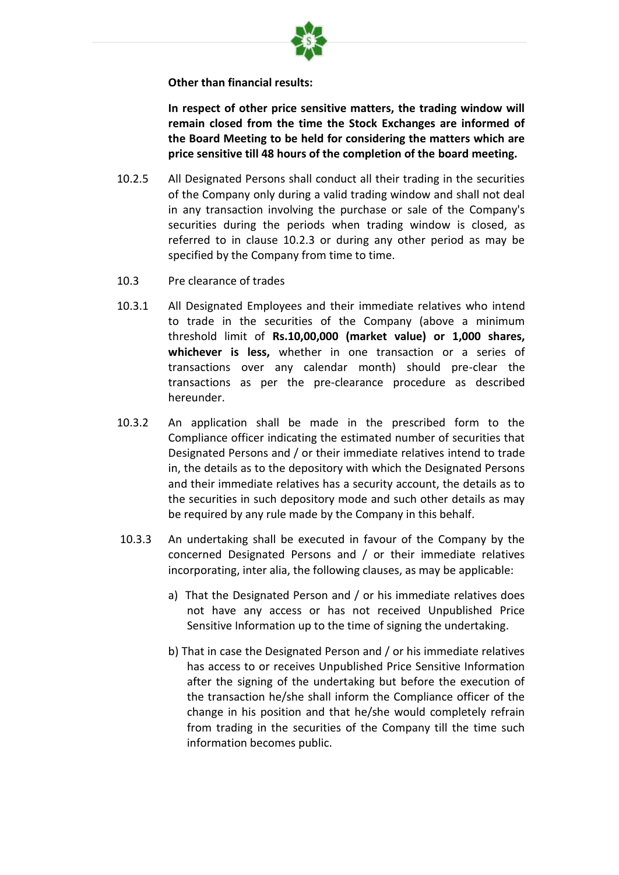

### **Other than financial results:**

**In respect of other price sensitive matters, the trading window will remain closed from the time the Stock Exchanges are informed of the Board Meeting to be held for considering the matters which are price sensitive till 48 hours of the completion of the board meeting.**

- 10.2.5 All Designated Persons shall conduct all their trading in the securities of the Company only during a valid trading window and shall not deal in any transaction involving the purchase or sale of the Company's securities during the periods when trading window is closed, as referred to in clause 10.2.3 or during any other period as may be specified by the Company from time to time.
- 10.3 Pre clearance of trades
- 10.3.1 All Designated Employees and their immediate relatives who intend to trade in the securities of the Company (above a minimum threshold limit of **Rs.10,00,000 (market value) or 1,000 shares, whichever is less,** whether in one transaction or a series of transactions over any calendar month) should pre-clear the transactions as per the pre-clearance procedure as described hereunder.
- 10.3.2 An application shall be made in the prescribed form to the Compliance officer indicating the estimated number of securities that Designated Persons and / or their immediate relatives intend to trade in, the details as to the depository with which the Designated Persons and their immediate relatives has a security account, the details as to the securities in such depository mode and such other details as may be required by any rule made by the Company in this behalf.
- 10.3.3 An undertaking shall be executed in favour of the Company by the concerned Designated Persons and / or their immediate relatives incorporating, inter alia, the following clauses, as may be applicable:
	- a) That the Designated Person and / or his immediate relatives does not have any access or has not received Unpublished Price Sensitive Information up to the time of signing the undertaking.
	- b) That in case the Designated Person and / or his immediate relatives has access to or receives Unpublished Price Sensitive Information after the signing of the undertaking but before the execution of the transaction he/she shall inform the Compliance officer of the change in his position and that he/she would completely refrain from trading in the securities of the Company till the time such information becomes public.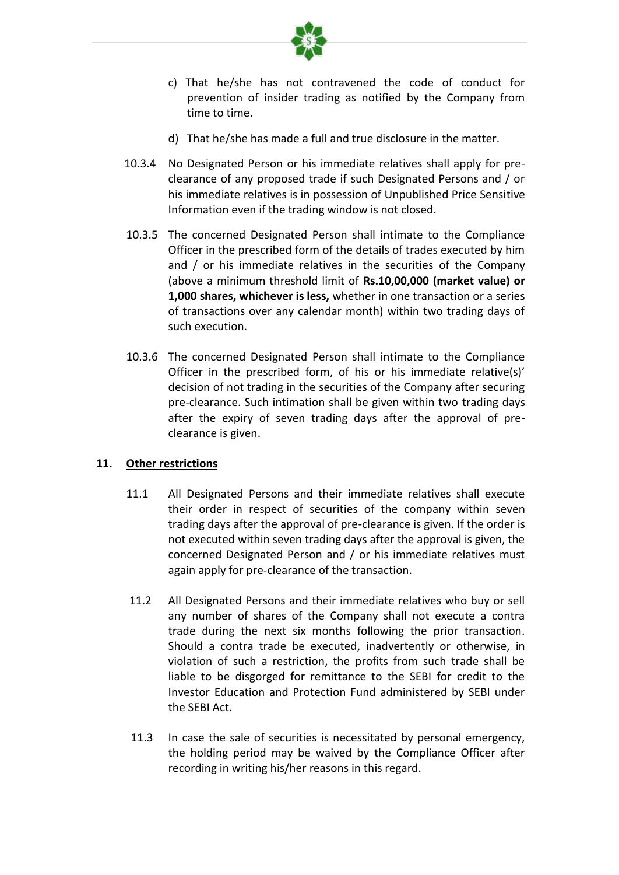

- c) That he/she has not contravened the code of conduct for prevention of insider trading as notified by the Company from time to time.
- d) That he/she has made a full and true disclosure in the matter.
- 10.3.4 No Designated Person or his immediate relatives shall apply for preclearance of any proposed trade if such Designated Persons and / or his immediate relatives is in possession of Unpublished Price Sensitive Information even if the trading window is not closed.
- 10.3.5 The concerned Designated Person shall intimate to the Compliance Officer in the prescribed form of the details of trades executed by him and / or his immediate relatives in the securities of the Company (above a minimum threshold limit of **Rs.10,00,000 (market value) or 1,000 shares, whichever is less,** whether in one transaction or a series of transactions over any calendar month) within two trading days of such execution.
- 10.3.6 The concerned Designated Person shall intimate to the Compliance Officer in the prescribed form, of his or his immediate relative(s)' decision of not trading in the securities of the Company after securing pre-clearance. Such intimation shall be given within two trading days after the expiry of seven trading days after the approval of preclearance is given.

### **11. Other restrictions**

- 11.1 All Designated Persons and their immediate relatives shall execute their order in respect of securities of the company within seven trading days after the approval of pre-clearance is given. If the order is not executed within seven trading days after the approval is given, the concerned Designated Person and / or his immediate relatives must again apply for pre-clearance of the transaction.
- 11.2 All Designated Persons and their immediate relatives who buy or sell any number of shares of the Company shall not execute a contra trade during the next six months following the prior transaction. Should a contra trade be executed, inadvertently or otherwise, in violation of such a restriction, the profits from such trade shall be liable to be disgorged for remittance to the SEBI for credit to the Investor Education and Protection Fund administered by SEBI under the SEBI Act.
- 11.3 In case the sale of securities is necessitated by personal emergency, the holding period may be waived by the Compliance Officer after recording in writing his/her reasons in this regard.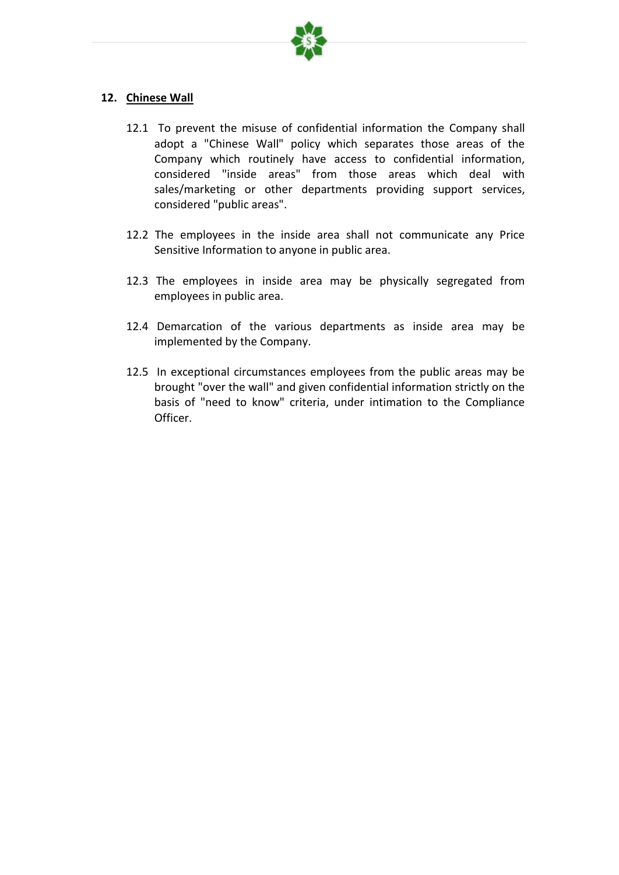

### **12. Chinese Wall**

- 12.1 To prevent the misuse of confidential information the Company shall adopt a "Chinese Wall" policy which separates those areas of the Company which routinely have access to confidential information, considered "inside areas" from those areas which deal with sales/marketing or other departments providing support services, considered "public areas".
- 12.2 The employees in the inside area shall not communicate any Price Sensitive Information to anyone in public area.
- 12.3 The employees in inside area may be physically segregated from employees in public area.
- 12.4 Demarcation of the various departments as inside area may be implemented by the Company.
- 12.5 In exceptional circumstances employees from the public areas may be brought "over the wall" and given confidential information strictly on the basis of "need to know" criteria, under intimation to the Compliance Officer.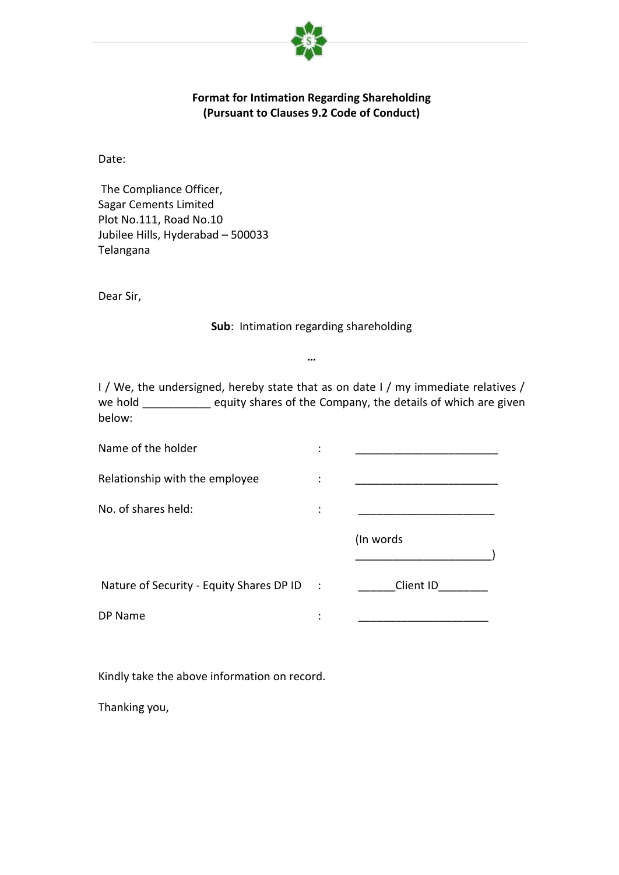

## **Format for Intimation Regarding Shareholding (Pursuant to Clauses 9.2 Code of Conduct)**

Date:

The Compliance Officer, Sagar Cements Limited Plot No.111, Road No.10 Jubilee Hills, Hyderabad – 500033 Telangana

Dear Sir,

**Sub**: Intimation regarding shareholding

**…**

I / We, the undersigned, hereby state that as on date I / my immediate relatives / we hold \_\_\_\_\_\_\_\_\_\_\_ equity shares of the Company, the details of which are given below:

| Name of the holder                       | $\bullet$                 |            |
|------------------------------------------|---------------------------|------------|
| Relationship with the employee           | ٠<br>$\ddot{\phantom{0}}$ |            |
| No. of shares held:                      | ٠<br>$\bullet$            |            |
|                                          |                           | (In words) |
|                                          |                           |            |
| Nature of Security - Equity Shares DP ID | $\sim$ :                  | Client ID  |
| DP Name                                  | ٠<br>٠                    |            |

Kindly take the above information on record.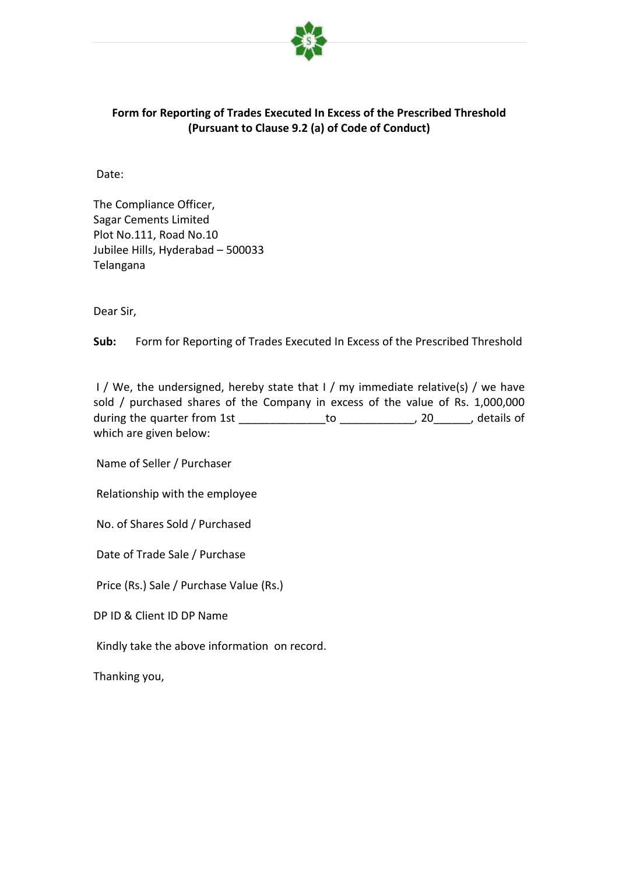

# **Form for Reporting of Trades Executed In Excess of the Prescribed Threshold (Pursuant to Clause 9.2 (a) of Code of Conduct)**

Date:

The Compliance Officer, Sagar Cements Limited Plot No.111, Road No.10 Jubilee Hills, Hyderabad – 500033 Telangana

Dear Sir,

**Sub:** Form for Reporting of Trades Executed In Excess of the Prescribed Threshold

I / We, the undersigned, hereby state that I / my immediate relative(s) / we have sold / purchased shares of the Company in excess of the value of Rs. 1,000,000 during the quarter from 1st \_\_\_\_\_\_\_\_\_\_\_\_\_\_\_to \_\_\_\_\_\_\_\_\_\_\_\_\_, 20\_\_\_\_\_\_, details of which are given below:

Name of Seller / Purchaser

Relationship with the employee

No. of Shares Sold / Purchased

Date of Trade Sale / Purchase

Price (Rs.) Sale / Purchase Value (Rs.)

DP ID & Client ID DP Name

Kindly take the above information on record.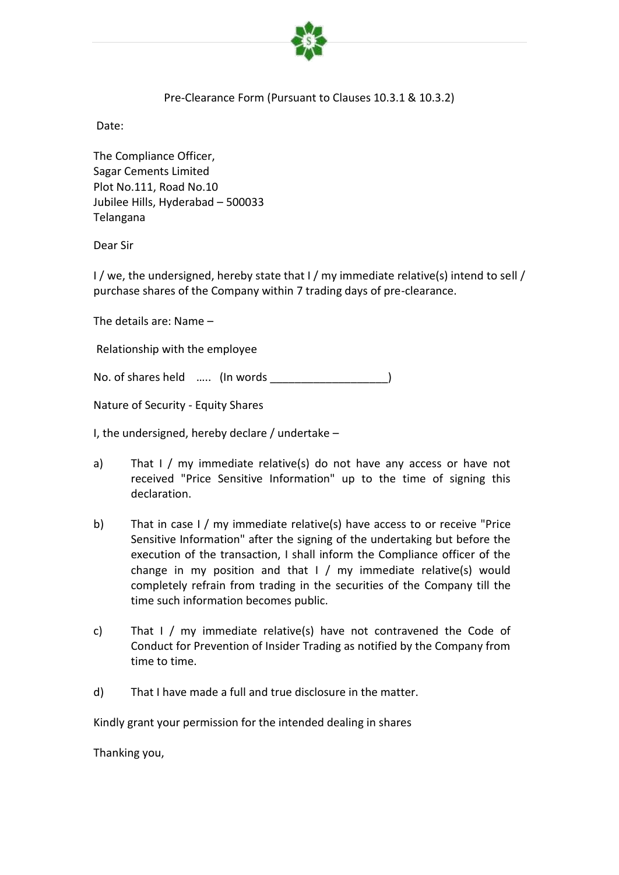

## Pre-Clearance Form (Pursuant to Clauses 10.3.1 & 10.3.2)

Date:

The Compliance Officer, Sagar Cements Limited Plot No.111, Road No.10 Jubilee Hills, Hyderabad – 500033 Telangana

Dear Sir

I / we, the undersigned, hereby state that I / my immediate relative(s) intend to sell / purchase shares of the Company within 7 trading days of pre-clearance.

The details are: Name –

Relationship with the employee

No. of shares held ….. (In words  $\qquad \qquad$ )

Nature of Security - Equity Shares

I, the undersigned, hereby declare / undertake –

- a) That I / my immediate relative(s) do not have any access or have not received "Price Sensitive Information" up to the time of signing this declaration.
- b) That in case I / my immediate relative(s) have access to or receive "Price Sensitive Information" after the signing of the undertaking but before the execution of the transaction, I shall inform the Compliance officer of the change in my position and that  $1 /$  my immediate relative(s) would completely refrain from trading in the securities of the Company till the time such information becomes public.
- c) That I / my immediate relative(s) have not contravened the Code of Conduct for Prevention of Insider Trading as notified by the Company from time to time.
- d) That I have made a full and true disclosure in the matter.

Kindly grant your permission for the intended dealing in shares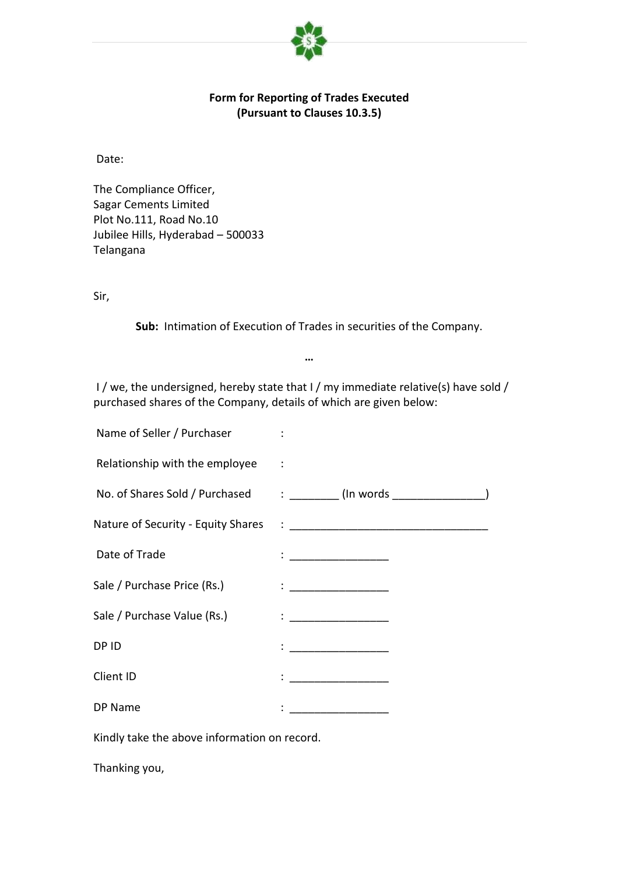

# **Form for Reporting of Trades Executed (Pursuant to Clauses 10.3.5)**

Date:

The Compliance Officer, Sagar Cements Limited Plot No.111, Road No.10 Jubilee Hills, Hyderabad – 500033 Telangana

Sir,

**Sub:** Intimation of Execution of Trades in securities of the Company.

**…**

I / we, the undersigned, hereby state that I / my immediate relative(s) have sold / purchased shares of the Company, details of which are given below:

| Name of Seller / Purchaser         |                                                                                            |
|------------------------------------|--------------------------------------------------------------------------------------------|
| Relationship with the employee     |                                                                                            |
|                                    |                                                                                            |
| Nature of Security - Equity Shares | $\mathbf{C} = \mathbf{C} \times \mathbf{C}$ . The contract of the contract of $\mathbf{C}$ |
| Date of Trade                      |                                                                                            |
| Sale / Purchase Price (Rs.)        | $\ddot{\phantom{a}}$ . The contract of $\ddot{\phantom{a}}$                                |
| Sale / Purchase Value (Rs.)        |                                                                                            |
| DP ID                              |                                                                                            |
| Client ID                          |                                                                                            |
| DP Name                            |                                                                                            |
|                                    |                                                                                            |

Kindly take the above information on record.